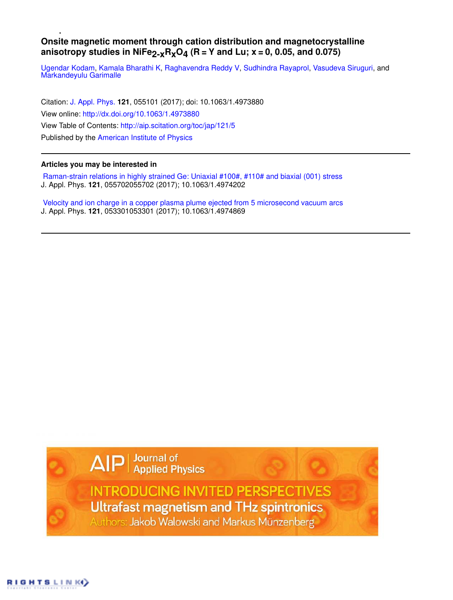## **Onsite magnetic moment through cation distribution and magnetocrystalline** anisotropy studies in NiFe<sub>2-x</sub>R<sub>x</sub>O<sub>4</sub> (R = Y and Lu; x = 0, 0.05, and 0.075)

Ugendar Kodam, Kamala Bharathi K, Raghavendra Reddy V, Sudhindra Rayaprol, Vasudeva Siruguri, and Markandeyulu Garimalle

Citation: J. Appl. Phys. **121**, 055101 (2017); doi: 10.1063/1.4973880 View online: http://dx.doi.org/10.1063/1.4973880 View Table of Contents: http://aip.scitation.org/toc/jap/121/5 Published by the American Institute of Physics

## **Articles you may be interested in**

 Raman-strain relations in highly strained Ge: Uniaxial #100#, #110# and biaxial (001) stress J. Appl. Phys. **121**, 055702055702 (2017); 10.1063/1.4974202

 Velocity and ion charge in a copper plasma plume ejected from 5 microsecond vacuum arcs J. Appl. Phys. **121**, 053301053301 (2017); 10.1063/1.4974869

AIP | Journal of<br>Applied Physics

**INTRODUCING INVITED PERSPECTIVES** Ultrafast magnetism and THz spintronics Authors: Jakob Walowski and Markus Münzenberg

RIGHTS LINK()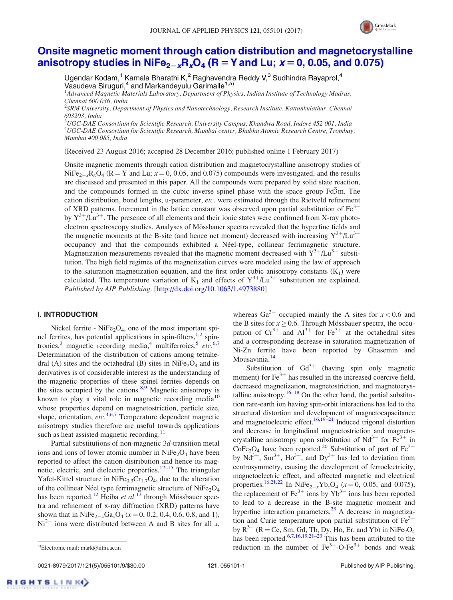

# Onsite magnetic moment through cation distribution and magnetocrystalline anisotropy studies in NiFe<sub>2-x</sub>R<sub>x</sub>O<sub>4</sub> (R = Y and Lu;  $x = 0$ , 0.05, and 0.075)

Ugendar Kodam,<sup>1</sup> Kamala Bharathi K,<sup>2</sup> Raghavendra Reddy V,<sup>3</sup> Sudhindra Rayaprol,<sup>4</sup> Vasudeva Siruguri,<sup>4</sup> and Markandeyulu Garimalle<sup>1,a)</sup>

<sup>1</sup>Advanced Magnetic Materials Laboratory, Department of Physics, Indian Institute of Technology Madras, Chennai 600 036, India

 $^2$ SRM University, Department of Physics and Nanotechnology, Research Institute, Kattankulathur, Chennai 603203, India

 $^3$ UGC-DAE Consortium for Scientific Research, University Campus, Khandwa Road, Indore 452 001, India <sup>4</sup>UGC-DAE Consortium for Scientific Research, Mumbai center, Bhabha Atomic Research Centre, Trombay, Mumbai 400 085, India

(Received 23 August 2016; accepted 28 December 2016; published online 1 February 2017)

Onsite magnetic moments through cation distribution and magnetocrystalline anisotropy studies of  $NiFe<sub>2-x</sub>R<sub>x</sub>O<sub>4</sub>$  (R = Y and Lu;  $x = 0, 0.05$ , and 0.075) compounds were investigated, and the results are discussed and presented in this paper. All the compounds were prepared by solid state reaction, and the compounds formed in the cubic inverse spinel phase with the space group Fd3m. The cation distribution, bond lengths, u-parameter, etc. were estimated through the Rietveld refinement of XRD patterns. Increment in the lattice constant was observed upon partial substitution of  $Fe<sup>3+</sup>$ by  $Y^{3+}/\text{Lu}^{3+}$ . The presence of all elements and their ionic states were confirmed from X-ray photoelectron spectroscopy studies. Analyses of Mössbauer spectra revealed that the hyperfine fields and the magnetic moments at the B-site (and hence net moment) decreased with increasing  $Y^{3+}/Lu^{3+}$ occupancy and that the compounds exhibited a Néel-type, collinear ferrimagnetic structure. Magnetization measurements revealed that the magnetic moment decreased with  $Y^{3+}/Lu^{3+}$  substitution. The high field regimes of the magnetization curves were modeled using the law of approach to the saturation magnetization equation, and the first order cubic anisotropy constants  $(K_1)$  were calculated. The temperature variation of  $K_1$  and effects of  $Y^{3+}/Lu^{3+}$  substitution are explained. Published by AIP Publishing. [http://dx.doi.org/10.1063/1.4973880]

### I. INTRODUCTION

Nickel ferrite - Ni $Fe<sub>2</sub>O<sub>4</sub>$ , one of the most important spinel ferrites, has potential applications in spin-filters,  $1,2$  spintronics,<sup>3</sup> magnetic recording media,<sup>4</sup> multiferroics,<sup>5</sup> etc.<sup>6,7</sup> Determination of the distribution of cations among tetrahedral (A) sites and the octahedral (B) sites in  $NiFe<sub>2</sub>O<sub>4</sub>$  and its derivatives is of considerable interest as the understanding of the magnetic properties of these spinel ferrites depends on the sites occupied by the cations. $8,9$  Magnetic anisotropy is known to play a vital role in magnetic recording media $10$ whose properties depend on magnetostriction, particle size, shape, orientation,  $etc.$ <sup>4,6,7</sup> Temperature dependent magnetic anisotropy studies therefore are useful towards applications such as heat assisted magnetic recording. $11$ 

Partial substitutions of non-magnetic 3d-transition metal ions and ions of lower atomic number in  $NiFe<sub>2</sub>O<sub>4</sub>$  have been reported to affect the cation distribution and hence its magnetic, electric, and dielectric properties.<sup>12–15</sup> The triangular Yafet-Kittel structure in  $NiFe<sub>0.3</sub>Cr<sub>1.7</sub>O<sub>4</sub>$ , due to the alteration of the collinear Néel type ferrimagnetic structure of NiFe<sub>2</sub>O<sub>4</sub> has been reported.<sup>12</sup> Heiba et al.<sup>13</sup> through Mössbauer spectra and refinement of x-ray diffraction (XRD) patterns have shown that in NiFe<sub>2-x</sub>Ga<sub>x</sub>O<sub>4</sub> ( $x = 0, 0.2, 0.4, 0.6, 0.8,$  and 1),  $Ni<sup>2+</sup>$  ions were distributed between A and B sites for all x,

whereas Ga<sup>3+</sup> occupied mainly the A sites for  $x < 0.6$  and the B sites for  $x \ge 0.6$ . Through Mössbauer spectra, the occupation of  $Cr^{3+}$  and  $Al^{3+}$  for  $Fe^{3+}$  at the octahedral sites and a corresponding decrease in saturation magnetization of Ni-Zn ferrite have been reported by Ghasemin and Mousavinia.<sup>14</sup>

Substitution of  $Gd^{3+}$  (having spin only magnetic moment) for  $Fe^{3+}$  has resulted in the increased coercive field, decreased magnetization, magnetostriction, and magnetocrystalline anisotropy.<sup>16–18</sup> On the other hand, the partial substitution rare-earth ion having spin-orbit interactions has led to the structural distortion and development of magnetocapacitance and magnetoelectric effect.<sup>16,19–21</sup> Induced trigonal distortion and decrease in longitudinal magnetostriction and magnetocrystalline anisotropy upon substitution of  $Nd^{3+}$  for  $Fe^{3+}$  in  $\text{CoFe}_2\text{O}_4$  have been reported.<sup>20</sup> Substitution of part of Fe<sup>3+</sup> by  $Nd^{3+}$ ,  $Sm^{3+}$ ,  $Ho^{3+}$ , and  $Dy^{3+}$  has led to deviation from centrosymmetry, causing the development of ferroelectricity, magnetoelectric effect, and affected magnetic and electrical properties.<sup>16,21,22</sup> In NiFe<sub>2-x</sub>Yb<sub>x</sub>O<sub>4</sub> (x = 0, 0.05, and 0.075), the replacement of  $\text{Fe}^{3+}$  ions by  $\text{Yb}^{3+}$  ions has been reported to lead to a decrease in the B-site magnetic moment and hyperfine interaction parameters.<sup>23</sup> A decrease in magnetization and Curie temperature upon partial substitution of  $Fe<sup>3+</sup>$ by  $R^{3+}$  (R = Ce, Sm, Gd, Tb, Dy, Ho, Er, and Yb) in NiFe<sub>2</sub>O<sub>4</sub> has been reported.<sup>6,7,16,19,21–23</sup> This has been attributed to the a)Electronic mail: mark@iitm.ac.in reduction in the number of  $Fe^{3+}$ -O-Fe<sup>3+</sup> bonds and weak

0021-8979/2017/121(5)/055101/9/\$30.00 121, 055101-1 Publishing. Published by AIP Publishing.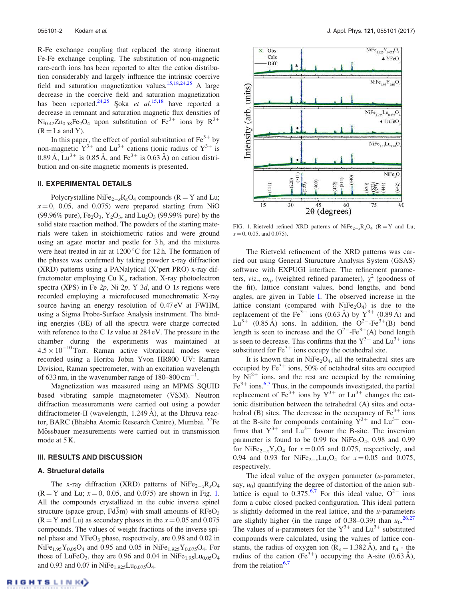R-Fe exchange coupling that replaced the strong itinerant Fe-Fe exchange coupling. The substitution of non-magnetic rare-earth ions has been reported to alter the cation distribution considerably and largely influence the intrinsic coercive field and saturation magnetization values.<sup>15,18,24,25</sup> A large decrease in the coercive field and saturation magnetization has been reported.<sup>24,25</sup> Soka et al.<sup>15,18</sup> have reported a decrease in remnant and saturation magnetic flux densities of  $Ni_{0.42}Zn_{0.58}Fe_2O_4$  upon substitution of  $Fe^{3+}$  ions by  $R^{3+}$  $(R = La$  and Y).

In this paper, the effect of partial substitution of  $Fe<sup>3+</sup>$  by non-magnetic  $Y^{3+}$  and  $Lu^{3+}$  cations (ionic radius of  $Y^{3+}$  is 0.89 Å,  $Lu^{3+}$  is 0.85 Å, and Fe<sup>3+</sup> is 0.63 Å) on cation distribution and on-site magnetic moments is presented.

#### II. EXPERIMENTAL DETAILS

Polycrystalline NiFe<sub>2-x</sub>R<sub>x</sub>O<sub>4</sub> compounds (R = Y and Lu;  $x=0$ , 0.05, and 0.075) were prepared starting from NiO (99.96% pure),  $Fe<sub>2</sub>O<sub>3</sub>$ ,  $Y<sub>2</sub>O<sub>3</sub>$ , and  $Lu<sub>2</sub>O<sub>3</sub>$  (99.99% pure) by the solid state reaction method. The powders of the starting materials were taken in stoichiometric ratios and were ground using an agate mortar and pestle for 3 h, and the mixtures were heat treated in air at  $1200\,^{\circ}$ C for 12 h. The formation of the phases was confirmed by taking powder x-ray diffraction (XRD) patterns using a PANalytical (X'pert PRO) x-ray diffractometer employing Cu  $K_{\alpha}$  radiation. X-ray photoelectron spectra (XPS) in Fe  $2p$ , Ni  $2p$ , Y  $3d$ , and O 1s regions were recorded employing a microfocused monochromatic X-ray source having an energy resolution of 0.47 eV at FWHM, using a Sigma Probe-Surface Analysis instrument. The binding energies (BE) of all the spectra were charge corrected with reference to the C 1s value at 284 eV. The pressure in the chamber during the experiments was maintained at  $4.5 \times 10^{-10}$  Torr. Raman active vibrational modes were recorded using a Horiba Jobin Yvon HR800 UV: Raman Division, Raman spectrometer, with an excitation wavelength of 633 nm, in the wavenumber range of  $180-800 \text{ cm}^{-1}$ .

Magnetization was measured using an MPMS SQUID based vibrating sample magnetometer (VSM). Neutron diffraction measurements were carried out using a powder diffractometer-II (wavelength, 1.249  $\AA$ ), at the Dhruva reactor, BARC (Bhabha Atomic Research Centre), Mumbai.<sup>57</sup>Fe Mössbauer measurements were carried out in transmission mode at 5 K.

#### III. RESULTS AND DISCUSSION

#### A. Structural details

The x-ray diffraction (XRD) patterns of  $NiFe_{2-x}R_xO_4$  $(R = Y \text{ and Lu}; x = 0, 0.05, \text{ and } 0.075)$  are shown in Fig. 1. All the compounds crystallized in the cubic inverse spinel structure (space group,  $Fd\overline{3}m$ ) with small amounts of  $RFeO<sub>3</sub>$  $(R = Y \text{ and } Lu)$  as secondary phases in the  $x = 0.05$  and 0.075 compounds. The values of weight fractions of the inverse spinel phase and YFeO<sub>3</sub> phase, respectively, are 0.98 and 0.02 in  $NiFe_{1.95}Y_{0.05}O_4$  and 0.95 and 0.05 in  $NiFe_{1.925}Y_{0.075}O_4$ . For those of LuFeO<sub>3</sub>, they are 0.96 and 0.04 in NiFe<sub>1.95</sub>Lu<sub>0.05</sub>O<sub>4</sub> and 0.93 and 0.07 in  $NiFe_{1.925}Cu_{0.075}O_4$ .



FIG. 1. Rietveld refined XRD patterns of NiFe<sub>2-x</sub>R<sub>x</sub>O<sub>4</sub> (R = Y and Lu;  $x = 0, 0.05,$  and 0.075).

The Rietveld refinement of the XRD patterns was carried out using General Sturucture Analysis System (GSAS) software with EXPUGI interface. The refinement parameters, viz.,  $\omega_{rp}$  (weighted refined parameter),  $\chi^2$  (goodness of the fit), lattice constant values, bond lengths, and bond angles, are given in Table I. The observed increase in the lattice constant (compared with  $NiFe<sub>2</sub>O<sub>4</sub>$ ) is due to the replacement of the Fe<sup>3+</sup> ions (0.63 Å) by  $Y^{3+}$  (0.89 Å) and  $Lu^{3+}$  (0.85 Å) ions. In addition, the  $O^{2-}$ -Fe<sup>3+</sup>(B) bond length is seen to increase and the  $O^{2-}$ -Fe<sup>3+</sup>(A) bond length is seen to decrease. This confirms that the  $Y^{3+}$  and  $Lu^{3+}$  ions substituted for  $Fe^{3+}$  ions occupy the octahedral site.

It is known that in  $NiFe<sub>2</sub>O<sub>4</sub>$ , all the tetrahedral sites are occupied by  $Fe^{3+}$  ions, 50% of octahedral sites are occupied by  $\mathrm{Ni^{2+}}$  ions, and the rest are occupied by the remaining  $Fe<sup>3+</sup> ions.<sup>6,7</sup> Thus, in the compounds investigated, the partial$ replacement of Fe<sup>3+</sup> ions by  $Y^{3+}$  or  $Lu^{3+}$  changes the cationic distribution between the tetrahedral (A) sites and octahedral (B) sites. The decrease in the occupancy of  $Fe<sup>3+</sup>$  ions at the B-site for compounds containing  $Y^{3+}$  and  $Lu^{3+}$  confirms that  $Y^{3+}$  and  $\text{Lu}^{3+}$  favour the B-site. The inversion parameter is found to be  $0.99$  for NiFe<sub>2</sub>O<sub>4</sub>, 0.98 and 0.99 for NiFe<sub>2-x</sub>Y<sub>x</sub>O<sub>4</sub> for  $x = 0.05$  and 0.075, respectively, and 0.94 and 0.93 for NiFe<sub>2-x</sub>Lu<sub>x</sub>O<sub>4</sub> for  $x = 0.05$  and 0.075, respectively.

The ideal value of the oxygen parameter  $(u$ -parameter, say,  $u_0$ ) quantifying the degree of distortion of the anion sublattice is equal to  $0.375^{6,7}$  For this ideal value,  $O^{2-}$  ions form a cubic closed packed configuration. This ideal pattern is slightly deformed in the real lattice, and the  $u$ -parameters are slightly higher (in the range of 0.38–0.39) than  $u_0$ <sup>26,27</sup> The values of *u*-parameters for the  $Y^{3+}$  and  $Lu^{3+}$  substituted compounds were calculated, using the values of lattice constants, the radius of oxygen ion  $(R_o = 1.382 \text{ Å})$ , and  $r_A$  - the radius of the cation (Fe<sup>3+</sup>) occupying the A-site (0.63 Å), from the relation $6,7$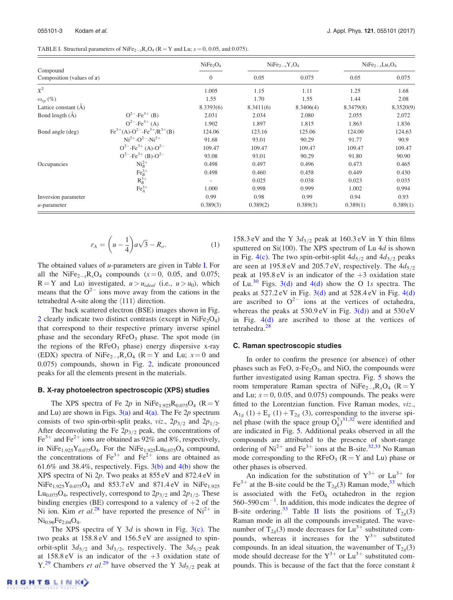| TABLE I. Structural parameters of NiFe <sub>2-x</sub> R <sub>x</sub> O <sub>4</sub> (R = Y and Lu; $x = 0$ , 0.05, and 0.075). |  |
|--------------------------------------------------------------------------------------------------------------------------------|--|
|--------------------------------------------------------------------------------------------------------------------------------|--|

|                                          |                                          | NiFe <sub>2</sub> O <sub>4</sub> |           | $NiFe2-xYxO4$ | $NiFe2-xLuxO4$ |           |
|------------------------------------------|------------------------------------------|----------------------------------|-----------|---------------|----------------|-----------|
| Compound<br>Composition (values of $x$ ) |                                          | $\mathbf{0}$                     | 0.05      | 0.075         | 0.05           | 0.075     |
| $X^2$                                    |                                          | 1.005                            | 1.15      | 1.11          | 1.25           | 1.68      |
| $\omega_{rp}(\%)$                        |                                          | 1.55                             | 1.70      | 1.55          | 1.44           | 2.08      |
| Lattice constant (A)                     |                                          | 8.3393(6)                        | 8.3411(6) | 8.3406(4)     | 8.3479(8)      | 8.3520(9) |
| Bond length $(A)$                        | $Q^{2-}$ -Fe <sup>3+</sup> (B)           | 2.031                            | 2.034     | 2.080         | 2.055          | 2.072     |
|                                          | $Q^{2-}$ -Fe <sup>3+</sup> (A)           | 1.902                            | 1.897     | 1.815         | 1.863          | 1.836     |
| Bond angle (deg)                         | $Fe^{3+}(A)-O^{2-}-Fe^{3+}/R^{3+}(B)$    | 124.06                           | 123.16    | 125.06        | 124.00         | 124.63    |
|                                          | $Ni2+-O2--Ni2+$                          | 91.68                            | 93.01     | 90.29         | 91.77          | 90.9      |
|                                          | $Q^{2-}$ -Fe <sup>3+</sup> (A)- $Q^{2-}$ | 109.47                           | 109.47    | 109.47        | 109.47         | 109.47    |
|                                          | $Q^{2-}$ -Fe <sup>3+</sup> (B)- $Q^{2-}$ | 93.08                            | 93.01     | 90.29         | 91.80          | 90.90     |
| Occupancies                              | $NiB2+$                                  | 0.498                            | 0.497     | 0.496         | 0.473          | 0.465     |
|                                          | $FeB3+$                                  | 0.498                            | 0.460     | 0.458         | 0.449          | 0.430     |
|                                          | $R_B^{3+}$                               | $\overline{\phantom{0}}$         | 0.025     | 0.038         | 0.023          | 0.035     |
|                                          | $FeA3+$                                  | 1.000                            | 0.998     | 0.999         | 1.002          | 0.994     |
| Inversion parameter                      |                                          | 0.99                             | 0.98      | 0.99          | 0.94           | 0.93      |
| $u$ -parameter                           |                                          | 0.389(3)                         | 0.389(2)  | 0.389(3)      | 0.389(1)       | 0.389(1)  |

$$
r_A = \left(u - \frac{1}{4}\right)a\sqrt{3} - R_o.
$$
 (1)

The obtained values of  $u$ -parameters are given in Table I. For all the NiFe<sub>2-x</sub>R<sub>x</sub>O<sub>4</sub> compounds ( $x = 0$ , 0.05, and 0.075;  $R = Y$  and Lu) investigated,  $u > u_{ideal}$  (i.e.,  $u > u_0$ ), which means that the  $O^{2-}$  ions move away from the cations in the tetrahedral A-site along the  $\langle 111 \rangle$  direction.

The back scattered electron (BSE) images shown in Fig. 2 clearly indicate two distinct contrasts (except in  $NiFe<sub>2</sub>O<sub>4</sub>$ ) that correspond to their respective primary inverse spinel phase and the secondary  $RFeO<sub>3</sub>$  phase. The spot mode (in the regions of the  $RFeO<sub>3</sub>$  phase) energy dispersive x-ray (EDX) spectra of NiFe<sub>2-x</sub>R<sub>x</sub>O<sub>4</sub> (R = Y and Lu;  $x=0$  and 0.075) compounds, shown in Fig. 2, indicate pronounced peaks for all the elements present in the materials.

#### B. X-ray photoelectron spectroscopic (XPS) studies

The XPS spectra of Fe  $2p$  in NiFe<sub>1.925</sub>R<sub>0.075</sub>O<sub>4</sub> (R = Y and Lu) are shown in Figs.  $3(a)$  and  $4(a)$ . The Fe 2p spectrum consists of two spin-orbit-split peaks,  $viz.$ ,  $2p_{3/2}$  and  $2p_{1/2}$ . After deconvoluting the Fe  $2p_{3/2}$  peak, the concentrations of Fe<sup>3+</sup> and Fe<sup>2+</sup> ions are obtained as 92% and 8%, respectively, in NiFe<sub>1.925</sub>Y<sub>0.075</sub>O<sub>4</sub>. For the NiFe<sub>1.925</sub>Lu<sub>0.075</sub>O<sub>4</sub> compound, the concentrations of  $\text{Fe}^{3+}$  and  $\text{Fe}^{2+}$  ions are obtained as 61.6% and 38.4%, respectively. Figs.  $3(b)$  and  $4(b)$  show the XPS spectra of Ni 2p. Two peaks at 855 eV and 872.4 eV in  $NiFe_{1.925}Y_{0.075}O_4$  and 853.7 eV and 871.4 eV in NiFe<sub>1.925</sub>  $Lu_{0.075}O_4$ , respectively, correspond to  $2p_{3/2}$  and  $2p_{1/2}$ . These binding energies (BE) correspond to a valency of  $+2$  of the Ni ion. Kim et al.<sup>28</sup> have reported the presence of  $Ni^{2+}$  in  $Ni_{0.96}Fe_{2.04}O_4.$ 

The XPS spectra of Y  $3d$  is shown in Fig. 3(c). The two peaks at 158.8 eV and 156.5 eV are assigned to spinorbit-split  $3d_{5/2}$  and  $3d_{3/2}$ , respectively. The  $3d_{5/2}$  peak at  $158.8 \text{ eV}$  is an indicator of the  $+3$  oxidation state of Y.<sup>29</sup> Chambers *et al.*<sup>29</sup> have observed the Y  $3d_{5/2}$  peak at 158.3 eV and the Y  $3d_{3/2}$  peak at 160.3 eV in Y thin films sputtered on Si(100). The XPS spectrum of Lu  $4d$  is shown in Fig. 4(c). The two spin-orbit-split  $4d_{5/2}$  and  $4d_{3/2}$  peaks are seen at 195.8 eV and 205.7 eV, respectively. The  $4d_{5/2}$ peak at 195.8 eV is an indicator of the  $+3$  oxidation state of Lu.<sup>30</sup> Figs. 3(d) and 4(d) show the O 1s spectra. The peaks at  $527.2 \text{ eV}$  in Fig.  $3(d)$  and at  $528.4 \text{ eV}$  in Fig.  $4(d)$ are ascribed to  $O^{2-}$  ions at the vertices of octahedra, whereas the peaks at  $530.9 \text{ eV}$  in Fig.  $3(d)$  and at  $530 \text{ eV}$ in Fig. 4(d) are ascribed to those at the vertices of tetrahedra.<sup>28</sup>

#### C. Raman spectroscopic studies

In order to confirm the presence (or absence) of other phases such as FeO,  $\alpha$ -Fe<sub>2</sub>O<sub>3</sub>, and NiO, the compounds were further investigated using Raman spectra. Fig. 5 shows the room temperature Raman spectra of NiFe<sub>2-x</sub>R<sub>x</sub>O<sub>4</sub> (R = Y and Lu;  $x = 0$ , 0.05, and 0.075) compounds. The peaks were fitted to the Lorentzian function. Five Raman modes, viz.,  $A_{1g}$  (1) +  $E_g$  (1) +  $T_{2g}$  (3), corresponding to the inverse spinel phase (with the space group  $\tilde{O}_h^7$ )<sup>31,32</sup> were identified and are indicated in Fig. 5. Additional peaks observed in all the compounds are attributed to the presence of short-range ordering of  $Ni^{2+}$  and  $Fe^{3+}$  ions at the B-site.<sup>32,33</sup> No Raman mode corresponding to the  $\text{RFeO}_3$  ( $\text{R} = \text{Y}$  and Lu) phase or other phases is observed.

An indication for the substitution of  $Y^{3+}$  or  $Lu^{3+}$  for Fe<sup>3+</sup> at the B-site could be the T<sub>2g</sub>(3) Raman mode,<sup>33</sup> which is associated with the  $FeO<sub>6</sub>$  octahedron in the region  $560-590 \text{ cm}^{-1}$ . In addition, this mode indicates the degree of B-site ordering.<sup>33</sup> Table II lists the positions of  $T_{2g}(3)$ Raman mode in all the compounds investigated. The wavenumber of T<sub>2g</sub>(3) mode decreases for Lu<sup>3+</sup> substituted compounds, whereas it increases for the  $Y^{3+}$  substituted compounds. In an ideal situation, the wavenumber of  $T_{2g}(3)$ mode should decrease for the  $Y^{3+}$  or  $Lu^{3+}$  substituted compounds. This is because of the fact that the force constant  $k$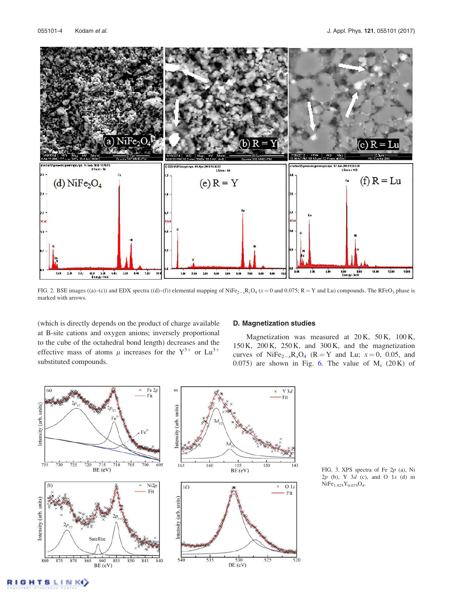

FIG. 2. BSE images ((a)–(c)) and EDX spectra ((d)–(f)) elemental mapping of NiFe<sub>2-x</sub>R<sub>x</sub>O<sub>4</sub> (x = 0 and 0.075; R = Y and Lu) compounds. The RFeO<sub>3</sub> phase is marked with arrows.

(which is directly depends on the product of charge available at B-site cations and oxygen anions; inversely proportional to the cube of the octahedral bond length) decreases and the effective mass of atoms  $\mu$  increases for the  $Y^{3+}$  or  $Lu^{3+}$ substituted compounds.

#### D. Magnetization studies

Magnetization was measured at 20 K, 50 K, 100 K, 150 K, 200 K, 250 K, and 300 K, and the magnetization curves of NiFe<sub>2-x</sub>R<sub>x</sub>O<sub>4</sub> (R = Y and Lu;  $x=0$ , 0.05, and 0.075) are shown in Fig. 6. The value of  $M_s$  (20K) of



FIG. 3. XPS spectra of Fe 2p (a), Ni 2p (b), Y 3d (c), and O 1s (d) in  $NiFe<sub>1.925</sub>Y<sub>0.075</sub>O<sub>4</sub>.$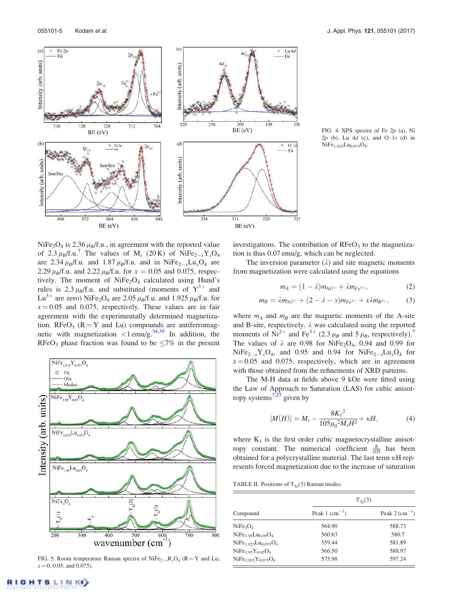

FIG. 4. XPS spectra of Fe 2p (a), Ni  $2p$  (b), Lu  $4d$  (c), and O 1s (d) in  $NiFe<sub>1.925</sub>Lu<sub>0.075</sub>O<sub>4</sub>.$ 

NiFe<sub>2</sub>O<sub>4</sub> is 2.36  $\mu_B$ /f.u., in agreement with the reported value of 2.3  $\mu_B$ /f.u.<sup>7</sup> The values of M<sub>s</sub> (20 K) of NiFe<sub>2-x</sub>Y<sub>x</sub>O<sub>4</sub> are 2.34  $\mu_B$ /f.u. and 1.87  $\mu_B$ /f.u. and in NiFe<sub>2-x</sub>Lu<sub>x</sub>O<sub>4</sub> are 2.29  $\mu_B$ /f.u. and 2.22  $\mu_B$ /f.u. for  $x = 0.05$  and 0.075, respectively. The moment of NiFe<sub>2</sub>O<sub>4</sub> calculated using Hund's rules is 2.3  $\mu_B$ /f.u. and substituted (moments of  $Y^{3+}$  and  $Lu^{3+}$  are zero) NiFe<sub>2</sub>O<sub>4</sub> are 2.05  $\mu_B$ /f.u. and 1.925  $\mu_B$ /f.u. for  $x = 0.05$  and 0.075, respectively. These values are in fair agreement with the experimentally determined magnetization. RFe $O_3$  (R = Y and Lu) compounds are antiferromagnetic with magnetization  $\langle 1 \text{emu/g.}^{34,35} \rangle$  In addition, the RFeO<sub>3</sub> phase fraction was found to be  $\leq 7\%$  in the present



FIG. 5. Room temperature Raman spectra of  $NiFe_{2-x}R_xO_4$  ( $R = Y$  and Lu;  $x = 0, 0.05,$  and 0.075).

investigations. The contribution of  $RFeO<sub>3</sub>$  to the magnetization is thus 0.07 emu/g, which can be neglected.

The inversion parameter  $(\lambda)$  and site magnetic moments from magnetization were calculated using the equations

$$
m_A = (1 - \lambda)m_{Ni^{2+}} + \lambda m_{Fe^{3+}}, \tag{2}
$$

$$
m_B = \lambda m_{Ni^{2+}} + (2 - \lambda - x)m_{Fe^{3+}} + x\lambda m_{R^{3+}},
$$
 (3)

where  $m_A$  and  $m_B$  are the magnetic moments of the A-site and B-site, respectively.  $\lambda$  was calculated using the reported moments of Ni<sup>2+</sup> and Fe<sup>3+</sup> (2.3  $\mu_B$  and 5  $\mu_B$ , respectively).<sup>7</sup> The values of  $\lambda$  are 0.98 for NiFe<sub>2</sub>O<sub>4</sub>, 0.94 and 0.99 for  $NiFe<sub>2-x</sub>Y<sub>x</sub>O<sub>4</sub>$ , and 0.95 and 0.94 for  $NiFe<sub>2-x</sub>Lu<sub>x</sub>O<sub>4</sub>$  for  $x = 0.05$  and 0.075, respectively, which are in agreement with those obtained from the refinements of XRD patterns.

The M-H data at fields above 9 kOe were fitted using the Law of Approach to Saturation (LAS) for cubic anisotropy systems $\frac{7}{23}$  given by

$$
|M(H)| = M_s - \frac{8K_1^2}{105\mu_0^2 M_s H^2} + \kappa H,\tag{4}
$$

where  $K_1$  is the first order cubic magnetocrystalline anisotropy constant. The numerical coefficient  $\frac{8}{105}$  has been obtained for a polycrystalline material. The last term  $\kappa$ H represents forced magnetization due to the increase of saturation

TABLE II. Positions of  $T_{2g}(3)$  Raman modes.

|                                  | $T_{2g}(3)$               |                        |  |
|----------------------------------|---------------------------|------------------------|--|
| Compound                         | Peak 1 $\text{(cm}^{-1})$ | Peak 2 $\rm (cm^{-1})$ |  |
| NiFe <sub>2</sub> O <sub>4</sub> | 564.90                    | 588.73                 |  |
| $NiFe1.95Lu0.05O4$               | 560.63                    | 580.7                  |  |
| $NiFe1925Lu0075O4$               | 559.44                    | 581.89                 |  |
| $NiFe1.95Y0.05O4$                | 566.50                    | 588.97                 |  |
| $NiFe1.925Y0.075O4$              | 575.98                    | 597.24                 |  |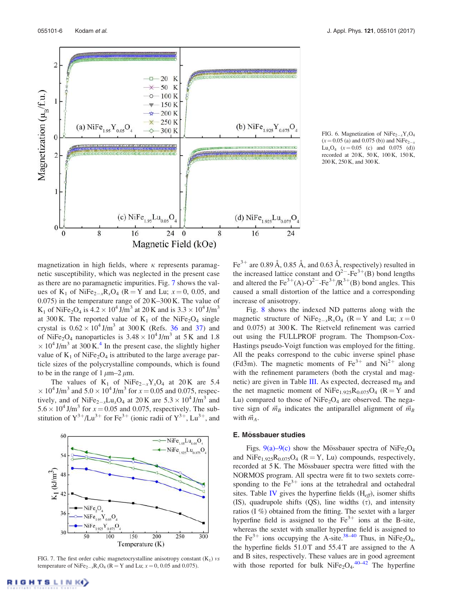

FIG. 6. Magnetization of NiFe<sub>2-x</sub>Y<sub>x</sub>O<sub>4</sub>  $(x=0.05$  (a) and 0.075 (b)) and NiFe<sub>2-x</sub> Lu<sub>x</sub>O<sub>4</sub> ( $x = 0.05$  (c) and 0.075 (d)) recorded at 20 K, 50 K, 100 K, 150 K, 200 K, 250 K, and 300 K.

magnetization in high fields, where  $\kappa$  represents paramagnetic susceptibility, which was neglected in the present case as there are no paramagnetic impurities. Fig. 7 shows the values of  $K_1$  of NiFe<sub>2-x</sub>R<sub>x</sub>O<sub>4</sub> (R = Y and Lu;  $x = 0$ , 0.05, and 0.075) in the temperature range of 20 K–300 K. The value of K<sub>1</sub> of NiFe<sub>2</sub>O<sub>4</sub> is  $4.2 \times 10^4$  J/m<sup>3</sup> at 20 K and is  $3.3 \times 10^4$  J/m<sup>3</sup> at 300 K. The reported value of  $K_1$  of the NiFe<sub>2</sub>O<sub>4</sub> single crystal is  $0.62 \times 10^4$  J/m<sup>3</sup> at 300 K (Refs. 36 and 37) and of NiFe<sub>2</sub>O<sub>4</sub> nanoparticles is  $3.48 \times 10^4$  J/m<sup>3</sup> at 5 K and 1.8  $\times 10^4$  J/m<sup>3</sup> at 300 K.<sup>4</sup> In the present case, the slightly higher value of  $K_1$  of NiFe<sub>2</sub>O<sub>4</sub> is attributed to the large average particle sizes of the polycrystalline compounds, which is found to be in the range of  $1 \mu m-2 \mu m$ .

The values of  $K_1$  of NiFe<sub>2-x</sub>Y<sub>x</sub>O<sub>4</sub> at 20K are 5.4  $\times$  10<sup>4</sup> J/m<sup>3</sup> and 5.0  $\times$  10<sup>4</sup> J/m<sup>3</sup> for  $x = 0.05$  and 0.075, respectively, and of NiFe<sub>2-x</sub>Lu<sub>x</sub>O<sub>4</sub> at 20 K are  $5.3 \times 10^4$  J/m<sup>3</sup> and  $5.6 \times 10^4$  J/m<sup>3</sup> for  $x = 0.05$  and 0.075, respectively. The substitution of  $Y^{3+}/Lu^{3+}$  for Fe<sup>3+</sup> (ionic radii of  $Y^{3+}$ , Lu<sup>3+</sup>, and



FIG. 7. The first order cubic magnetocrystalline anisotropy constant  $(K_1)$  vs temperature of NiFe<sub>2-x</sub>R<sub>x</sub>O<sub>4</sub> (R = Y and Lu;  $x = 0$ , 0.05 and 0.075).

Fe<sup>3+</sup> are 0.89 Å, 0.85 Å, and 0.63 Å, respectively) resulted in the increased lattice constant and  $O^{2-}$ -Fe<sup>3+</sup>(B) bond lengths and altered the  $\text{Fe}^{3+}(A) \cdot \text{O}^{2-} \cdot \text{Fe}^{3+}/\text{R}^{3+}(B)$  bond angles. This caused a small distortion of the lattice and a corresponding increase of anisotropy.

Fig. 8 shows the indexed ND patterns along with the magnetic structure of NiFe<sub>2-x</sub>R<sub>x</sub>O<sub>4</sub> (R = Y and Lu;  $x=0$ and 0.075) at 300 K. The Rietveld refinement was carried out using the FULLPROF program. The Thompson-Cox-Hastings pseudo-Voigt function was employed for the fitting. All the peaks correspond to the cubic inverse spinel phase ( $Fd\bar{3}m$ ). The magnetic moments of  $Fe^{3+}$  and  $Ni^{2+}$  along with the refinement parameters (both the crystal and magnetic) are given in Table III. As expected, decreased  $m_B$  and the net magnetic moment of  $NiFe<sub>1.925</sub>R<sub>0.075</sub>O<sub>4</sub>$  ( $R = Y$  and Lu) compared to those of  $NiFe<sub>2</sub>O<sub>4</sub>$  are observed. The negative sign of  $\vec{m}_B$  indicates the antiparallel alignment of  $\vec{m}_B$ with  $\vec{m}_A$ .

#### E. Mössbauer studies

Figs.  $9(a)-9(c)$  show the Mössbauer spectra of NiFe<sub>2</sub>O<sub>4</sub> and NiFe<sub>1.925</sub> $R_{0.075}O_4$  ( $R = Y$ , Lu) compounds, respectively, recorded at 5 K. The Mössbauer spectra were fitted with the NORMOS program. All spectra were fit to two sextets corresponding to the  $Fe<sup>3+</sup>$  ions at the tetrahedral and octahedral sites. Table IV gives the hyperfine fields  $(H_{eff})$ , isomer shifts (IS), quadrupole shifts (QS), line widths  $(\tau)$ , and intensity ratios (I %) obtained from the fitting. The sextet with a larger hyperfine field is assigned to the  $Fe^{3+}$  ions at the B-site, whereas the sextet with smaller hyperfine field is assigned to the Fe<sup>3+</sup> ions occupying the A-site.<sup>38-40</sup> Thus, in NiFe<sub>2</sub>O<sub>4</sub>, the hyperfine fields 51.0 T and 55.4 T are assigned to the A and B sites, respectively. These values are in good agreement with those reported for bulk  $NiFe<sub>2</sub>O<sub>4</sub>$ . The hyperfine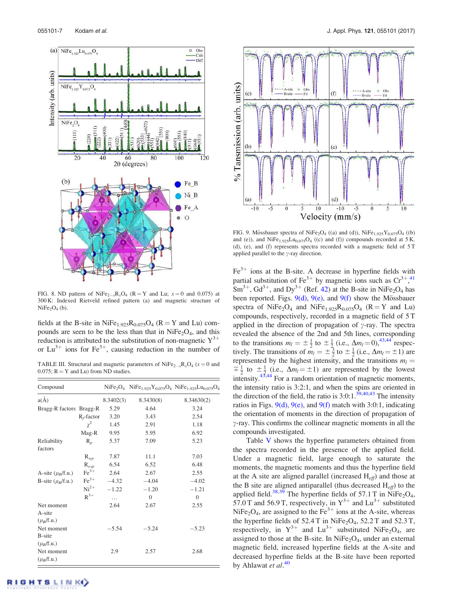

FIG. 8. ND pattern of NiFe<sub>2-x</sub>R<sub>x</sub>O<sub>4</sub> (R = Y and Lu;  $x=0$  and 0.075) at 300 K: Indexed Rietveld refined pattern (a) and magnetic structure of  $NiFe<sub>2</sub>O<sub>4</sub>$  (b).

fields at the B-site in  $NiFe<sub>1.925</sub>R<sub>0.075</sub>O<sub>4</sub>$  ( $R = Y$  and Lu) compounds are seen to be the less than that in  $NiFe<sub>2</sub>O<sub>4</sub>$ , and this reduction is attributed to the substitution of non-magnetic  $Y^{3+}$ or  $Lu^{3+}$  ions for Fe<sup>3+</sup>, causing reduction in the number of

TABLE III. Structural and magnetic parameters of  $N$ i $Fe_{2-x}R_xO_4$  ( $x=0$  and 0.075;  $R = Y$  and Lu) from ND studies.

| Compound                                      |                  |           |              | $NiFe2O4 NiFe1.925Y0.075O4 NiFe1.925Lu0.075O4$ |
|-----------------------------------------------|------------------|-----------|--------------|------------------------------------------------|
| $a(\AA)$                                      |                  | 8.3402(3) | 8.3430(8)    | 8.34630(2)                                     |
| Bragg-R factors Bragg-R                       |                  | 5.29      | 4.64         | 3.24                                           |
|                                               | $R_f$ -factor    | 3.20      | 3.43         | 2.54                                           |
|                                               | $\gamma^2$       | 1.45      | 2.91         | 1.18                                           |
|                                               | Mag-R            | 9.95      | 5.95         | 6.92                                           |
| Reliability<br>factors                        | $R_n$            | 5.37      | 7.09         | 5.23                                           |
|                                               | $R_{wp}$         | 7.87      | 11.1         | 7.03                                           |
|                                               | $R_{exp}$        | 6.54      | 6.52         | 6.48                                           |
| A-site $(\mu_B/f.u.)$                         | $\text{Fe}^{3+}$ | 2.64      | 2.67         | 2.55                                           |
| B-site $(\mu_R/f.u.)$                         | $\text{Fe}^{3+}$ | $-4.32$   | $-4.04$      | $-4.02$                                        |
|                                               | $Ni2+$           | $-1.22$   | $-1.20$      | $-1.21$                                        |
|                                               | $R^{3+}$         | .         | $\mathbf{0}$ | $\overline{0}$                                 |
| Net moment<br>A-site<br>$(\mu_R/\text{f.u.})$ |                  | 2.64      | 2.67         | 2.55                                           |
| Net moment<br>B-site<br>$(\mu_B/f.u.)$        |                  | $-5.54$   | $-5.24$      | $-5.23$                                        |
| Net moment<br>$(\mu_B/f.u.)$                  |                  | 2.9       | 2.57         | 2.68                                           |



FIG. 9. Mössbauer spectra of NiFe<sub>2</sub>O<sub>4</sub> ((a) and (d)), NiFe<sub>1.925</sub>Y<sub>0.075</sub>O<sub>4</sub> ((b) and (e)), and  $NiFe<sub>1.925</sub>Lu<sub>0.075</sub>O<sub>4</sub>$  ((c) and (f)) compounds recorded at 5 K. (d), (e), and (f) represents spectra recorded with a magnetic field of 5 T applied parallel to the  $\gamma$ -ray direction.

 $Fe<sup>3+</sup>$  ions at the B-site. A decrease in hyperfine fields with partial substitution of Fe<sup>3+</sup> by magnetic ions such as  $Cr^{3+},$ <sup>41</sup>  $\text{Sm}^{3+}$ ,  $\text{Gd}^{3+}$ , and  $\text{Dy}^{3+}$  (Ref. 42) at the B-site in NiFe<sub>2</sub>O<sub>4</sub> has been reported. Figs.  $9(d)$ ,  $9(e)$ , and  $9(f)$  show the Mössbauer spectra of NiFe<sub>2</sub>O<sub>4</sub> and NiFe<sub>1.925</sub>R<sub>0.075</sub>O<sub>4</sub> (R = Y and Lu) compounds, respectively, recorded in a magnetic field of 5 T applied in the direction of propagation of  $\gamma$ -ray. The spectra revealed the absence of the 2nd and 5th lines, corresponding to the transitions  $m_l = \pm \frac{1}{2}$  to  $\pm \frac{1}{2}$  (i.e.,  $\Delta m_l = 0$ ),<sup>43,44</sup> respectively. The transitions of  $m_l = \pm \frac{3}{2}$  to  $\pm \frac{1}{2}$  (i.e.,  $\Delta m_l = \pm 1$ ) are represented by the highest intensity, and the transitions  $m_l =$  $\frac{1}{2}$  to  $\pm \frac{1}{2}$  (i.e.,  $\Delta m_l = \pm 1$ ) are represented by the lowest  $\frac{2}{3}$  to  $\frac{2}{3}$  (i.e.,  $\frac{2m}{3m} = -1$ ) are represented by the lowest intensity.<sup>43,44</sup> For a random orientation of magnetic moments, the intensity ratio is 3:2:1, and when the spins are oriented in the direction of the field, the ratio is  $3:0:1.^{\overline{39},40,43}$  The intensity ratios in Figs.  $9(d)$ ,  $9(e)$ , and  $9(f)$  match with 3:0:1, indicating the orientation of moments in the direction of propagation of  $\gamma$ -ray. This confirms the collinear magnetic moments in all the compounds investigated.

Table V shows the hyperfine parameters obtained from the spectra recorded in the presence of the applied field. Under a magnetic field, large enough to saturate the moments, the magnetic moments and thus the hyperfine field at the A site are aligned parallel (increased  $H_{\text{eff}}$ ) and those at the B site are aligned antiparallel (thus decreased  $H_{eff}$ ) to the applied field.<sup>38,39</sup> The hyperfine fields of 57.1 T in NiFe<sub>2</sub>O<sub>4</sub>, 57.0 T and 56.9 T, respectively, in  $Y^{3+}$  and  $Lu^{3+}$  substituted NiFe<sub>2</sub>O<sub>4</sub>, are assigned to the Fe<sup>3+</sup> ions at the A-site, whereas the hyperfine fields of  $52.4$  T in NiFe<sub>2</sub>O<sub>4</sub>,  $52.2$  T and  $52.3$  T, respectively, in  $Y^{3+}$  and  $Lu^{3+}$  substituted NiFe<sub>2</sub>O<sub>4</sub>, are assigned to those at the B-site. In  $NiFe<sub>2</sub>O<sub>4</sub>$ , under an external magnetic field, increased hyperfine fields at the A-site and decreased hyperfine fields at the B-site have been reported by Ahlawat et al.<sup>40</sup>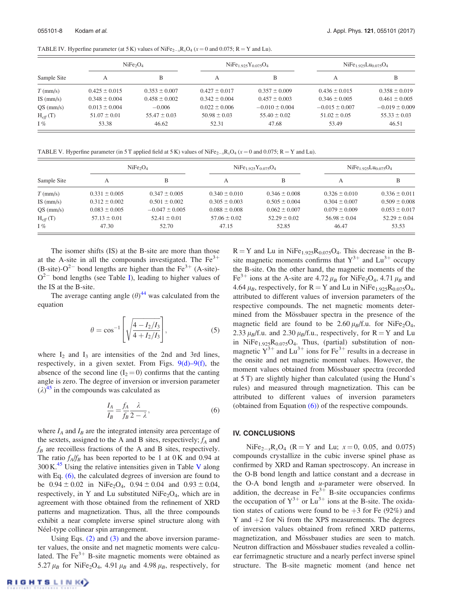TABLE IV. Hyperfine parameter (at 5 K) values of  $NiFe_{2-x}R_xO_4$  ( $x = 0$  and 0.075; R = Y and Lu).

| Sample Site        | NiFe <sub>2</sub> O <sub>4</sub> |                   | $NiFe1.925Y0.075O4$ |                    | $NiFe1.925Lu0.075O4$ |                    |
|--------------------|----------------------------------|-------------------|---------------------|--------------------|----------------------|--------------------|
|                    | А                                | B                 | А                   | В                  | А                    |                    |
| $T$ (mm/s)         | $0.425 \pm 0.015$                | $0.353 \pm 0.007$ | $0.427 \pm 0.017$   | $0.357 \pm 0.009$  | $0.436 \pm 0.015$    | $0.358 \pm 0.019$  |
| IS $\text{(mm/s)}$ | $0.348 \pm 0.004$                | $0.458 \pm 0.002$ | $0.342 \pm 0.004$   | $0.457 \pm 0.003$  | $0.346 \pm 0.005$    | $0.461 \pm 0.005$  |
| $QS$ (mm/s)        | $0.013 \pm 0.004$                | $-0.006$          | $0.022 \pm 0.006$   | $-0.010 \pm 0.004$ | $-0.015 \pm 0.007$   | $-0.019 \pm 0.009$ |
| $H_{eff}(T)$       | $51.07 \pm 0.01$                 | $55.47 \pm 0.03$  | $50.98 \pm 0.03$    | $55.40 \pm 0.02$   | $51.02 \pm 0.05$     | $55.33 \pm 0.03$   |
| $I\%$              | 53.38                            | 46.62             | 52.31               | 47.68              | 53.49                | 46.51              |

TABLE V. Hyperfine parameter (in 5 T applied field at 5 K) values of  $NiFe_{2-x}R_xO_4$  ( $x=0$  and 0.075; R = Y and Lu).

|                    | NiFe <sub>2</sub> O <sub>4</sub> |                    | $NiFe1.925Y0.075O4$ |                   | $NiFe1.925Lu0.075O4$ |                   |
|--------------------|----------------------------------|--------------------|---------------------|-------------------|----------------------|-------------------|
| Sample Site        | А                                | в                  | A                   | B                 | А                    | B                 |
| $T$ (mm/s)         | $0.331 \pm 0.005$                | $0.347 \pm 0.005$  | $0.340 \pm 0.010$   | $0.346 \pm 0.008$ | $0.326 \pm 0.010$    | $0.336 \pm 0.011$ |
| IS $\text{(mm/s)}$ | $0.312 \pm 0.002$                | $0.501 \pm 0.002$  | $0.305 \pm 0.003$   | $0.505 \pm 0.004$ | $0.304 \pm 0.007$    | $0.509 \pm 0.008$ |
| $QS$ (mm/s)        | $0.083 \pm 0.005$                | $-0.047 \pm 0.005$ | $0.088 \pm 0.008$   | $0.062 \pm 0.007$ | $0.079 \pm 0.009$    | $0.053 \pm 0.017$ |
| $H_{eff}(T)$       | $57.13 \pm 0.01$                 | $52.41 \pm 0.01$   | $57.06 \pm 0.02$    | $52.29 \pm 0.02$  | $56.98 \pm 0.04$     | $52.29 \pm 0.04$  |
| $I\%$              | 47.30                            | 52.70              | 47.15               | 52.85             | 46.47                | 53.53             |

The isomer shifts (IS) at the B-site are more than those at the A-site in all the compounds investigated. The  $Fe<sup>3+</sup>$ (B-site)- $O^{2-}$  bond lengths are higher than the Fe<sup>3+</sup> (A-site)- $O^{2-}$  bond lengths (see Table I), leading to higher values of the IS at the B-site.

The average canting angle  $(\theta)^{44}$  was calculated from the equation

$$
\theta = \cos^{-1} \left[ \sqrt{\frac{4 - I_2/I_3}{4 + I_2/I_3}} \right],
$$
\n(5)

where  $I_2$  and  $I_3$  are intensities of the 2nd and 3rd lines, respectively, in a given sextet. From Figs.  $9(d) - 9(f)$ , the absence of the second line  $(I_2 = 0)$  confirms that the canting angle is zero. The degree of inversion or inversion parameter  $(\lambda)^{45}$  in the compounds was calculated as

$$
\frac{I_A}{I_B} = \frac{f_A}{f_B} \frac{\lambda}{2 - \lambda},\tag{6}
$$

where  $I_A$  and  $I_B$  are the integrated intensity area percentage of the sextets, assigned to the A and B sites, respectively;  $f_A$  and  $f_B$  are recoilless fractions of the A and B sites, respectively. The ratio  $f_A/f_B$  has been reported to be 1 at 0 K and 0.94 at  $300 \text{ K}^{45}$  Using the relative intensities given in Table V along with Eq. (6), the calculated degrees of inversion are found to be  $0.94 \pm 0.02$  in NiFe<sub>2</sub>O<sub>4</sub>,  $0.94 \pm 0.04$  and  $0.93 \pm 0.04$ , respectively, in Y and Lu substituted  $NiFe<sub>2</sub>O<sub>4</sub>$ , which are in agreement with those obtained from the refinement of XRD patterns and magnetization. Thus, all the three compounds exhibit a near complete inverse spinel structure along with Néel-type collinear spin arrangement.

Using Eqs. (2) and (3) and the above inversion parameter values, the onsite and net magnetic moments were calculated. The  $Fe<sup>3+</sup>$  B-site magnetic moments were obtained as 5.27  $\mu$ <sub>B</sub> for NiFe<sub>2</sub>O<sub>4</sub>, 4.91  $\mu$ <sub>B</sub> and 4.98  $\mu$ <sub>B</sub>, respectively, for

 $R = Y$  and Lu in NiFe<sub>1.925</sub>R<sub>0.075</sub>O<sub>4</sub>. This decrease in the Bsite magnetic moments confirms that  $Y^{3+}$  and  $Lu^{3+}$  occupy the B-site. On the other hand, the magnetic moments of the Fe<sup>3+</sup> ions at the A-site are 4.72  $\mu_B$  for NiFe<sub>2</sub>O<sub>4</sub>, 4.71  $\mu_B$  and 4.64  $\mu$ <sub>B</sub>, respectively, for R = Y and Lu in NiFe<sub>1.925</sub>R<sub>0.075</sub>O<sub>4</sub>, attributed to different values of inversion parameters of the respective compounds. The net magnetic moments determined from the Mössbauer spectra in the presence of the magnetic field are found to be  $2.60 \mu_B/f.u.$  for NiFe<sub>2</sub>O<sub>4</sub>, 2.33  $\mu_B$ f.u. and 2.30  $\mu_B$ f.u., respectively, for R = Y and Lu in NiFe<sub>1.925</sub> $R_{0.075}O_4$ . Thus, (partial) substitution of nonmagnetic  $Y^{3+}$  and  $Lu^{3+}$  ions for  $Fe^{3+}$  results in a decrease in the onsite and net magnetic moment values. However, the moment values obtained from Mössbauer spectra (recorded at 5 T) are slightly higher than calculated (using the Hund's rules) and measured through magnetization. This can be attributed to different values of inversion parameters (obtained from Equation (6)) of the respective compounds.

#### IV. CONCLUSIONS

 $NiFe<sub>2-x</sub>R<sub>x</sub>O<sub>4</sub>$  (R = Y and Lu;  $x=0$ , 0.05, and 0.075) compounds crystallize in the cubic inverse spinel phase as confirmed by XRD and Raman spectroscopy. An increase in the O-B bond length and lattice constant and a decrease in the O-A bond length and  $u$ -parameter were observed. In addition, the decrease in  $\text{Fe}^{3+}$  B-site occupancies confirms the occupation of  $Y^{3+}$  or  $Lu^{3+}$  ions at the B-site. The oxidation states of cations were found to be  $+3$  for Fe (92%) and Y and  $+2$  for Ni from the XPS measurements. The degrees of inversion values obtained from refined XRD patterns, magnetization, and Mössbauer studies are seen to match. Neutron diffraction and Mössbauer studies revealed a collinear ferrimagnetic structure and a nearly perfect inverse spinel structure. The B-site magnetic moment (and hence net